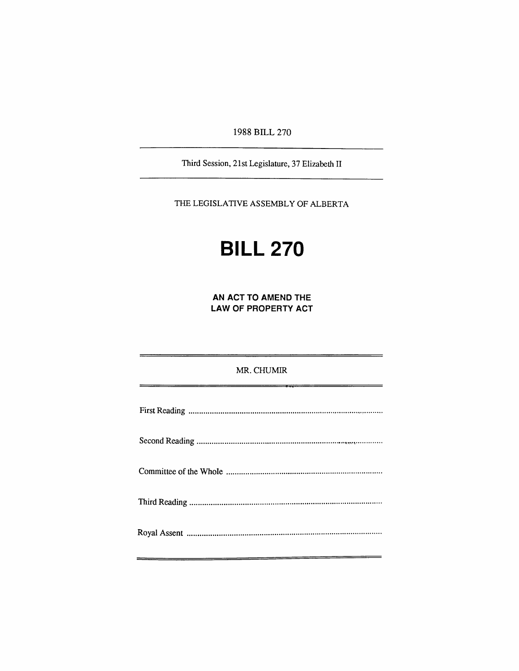1988 BILL 270

Third Session, 21st Legislature, 37 Elizabedi II

THE LEGISLATIVE ASSEMBLY OF ALBERTA

# **BILL 270**

**AN ACT TO AMEND THE LAW OF PROPERTY ACT** 

#### MR.CHUMIR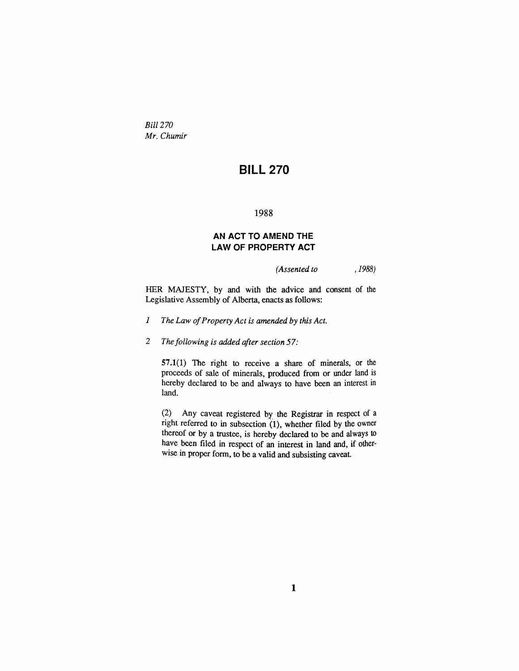*Bill 270 Mr. Chumir* 

## **BILL 270**

#### 1988

#### **AN ACT TO AMEND THE LAW OF PROPERTY ACT**

*(Assented to , 1988)* 

HER MAJESTY, by and with the advice and consent of the Legislative Assembly of Alberta, enacts as follows:

- *1 The Law of Property Act is amended by this Act.*
- 2 The following is added after section 57:

57.1(1) The right to receive a share of minerals, or the proceeds of sale of minerals, produced from or under land is hereby declared to be and always to have been an interest in land.

(2) Any caveat registered by the Registrar in respect of a right referred to in subsection  $(1)$ , whether filed by the owner thereof or by a trustee, is hereby declared to be and always to have been filed in respect of an interest in land and, if otherwise in proper form, to be a valid and subsisting caveat.